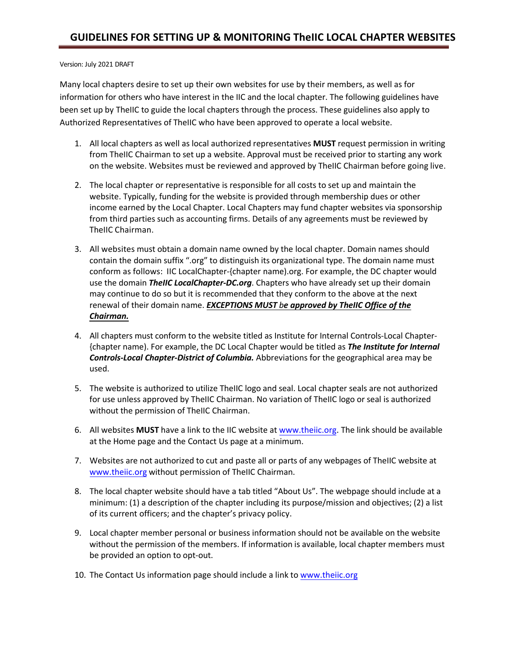## Version: July 2021 DRAFT

Many local chapters desire to set up their own websites for use by their members, as well as for information for others who have interest in the IIC and the local chapter. The following guidelines have been set up by TheIIC to guide the local chapters through the process. These guidelines also apply to Authorized Representatives of TheIIC who have been approved to operate a local website.

- 1. All local chapters as well as local authorized representatives **MUST** request permission in writing from TheIIC Chairman to set up a website. Approval must be received prior to starting any work on the website. Websites must be reviewed and approved by TheIIC Chairman before going live.
- 2. The local chapter or representative is responsible for all costs to set up and maintain the website. Typically, funding for the website is provided through membership dues or other income earned by the Local Chapter. Local Chapters may fund chapter websites via sponsorship from third parties such as accounting firms. Details of any agreements must be reviewed by TheIIC Chairman.
- 3. All websites must obtain a domain name owned by the local chapter. Domain names should contain the domain suffix ".org" to distinguish its organizational type. The domain name must conform as follows: IIC LocalChapter-{chapter name).org. For example, the DC chapter would use the domain *TheIIC LocalChapter-DC.org*. Chapters who have already set up their domain may continue to do so but it is recommended that they conform to the above at the next renewal of their domain name. *EXCEPTIONS MUST be approved by TheIIC Office of the Chairman.*
- 4. All chapters must conform to the website titled as Institute for Internal Controls-Local Chapter- {chapter name). For example, the DC Local Chapter would be titled as *The Institute for Internal Controls-Local Chapter-District of Columbia.* Abbreviations for the geographical area may be used.
- 5. The website is authorized to utilize TheIIC logo and seal. Local chapter seals are not authorized for use unless approved by TheIIC Chairman. No variation of TheIIC logo or seal is authorized without the permission of TheIIC Chairman.
- 6. All websites **MUST** have a link to the IIC website at [www.theiic.org.](http://www.theiic.org/) The link should be available at the Home page and the Contact Us page at a minimum.
- 7. Websites are not authorized to cut and paste all or parts of any webpages of TheIIC website at w[ww.theiic.org](http://www.theiic.org/) without permission of TheIIC Chairman.
- 8. The local chapter website should have a tab titled "About Us". The webpage should include at a minimum: (1) a description of the chapter including its purpose/mission and objectives; (2) a list of its current officers; and the chapter's privacy policy.
- 9. Local chapter member personal or business information should not be available on the website without the permission of the members. If information is available, local chapter members must be provided an option to opt-out.
- 10. The Contact Us information page should include a link to [www.theiic.org](http://www.theiic.org/)